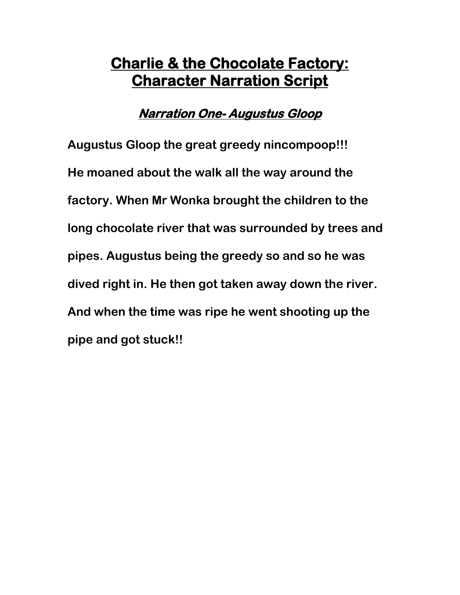### **Narration One- Augustus Gloop**

 **Augustus Gloop the great greedy nincompoop!!! He moaned about the walk all the way around the factory. When Mr Wonka brought the children to the long chocolate river that was surrounded by trees and pipes. Augustus being the greedy so and so he was dived right in. He then got taken away down the river. And when the time was ripe he went shooting up the pipe and got stuck!!**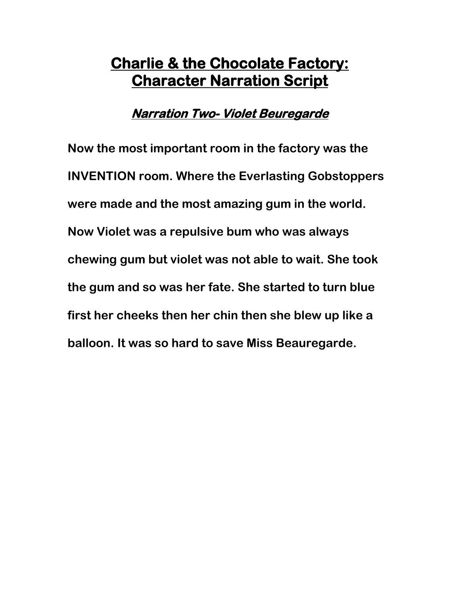#### **Narration Two- Violet Beuregarde**

**Now the most important room in the factory was the INVENTION room. Where the Everlasting Gobstoppers were made and the most amazing gum in the world. Now Violet was a repulsive bum who was always chewing gum but violet was not able to wait. She took the gum and so was her fate. She started to turn blue first her cheeks then her chin then she blew up like a balloon. It was so hard to save Miss Beauregarde.**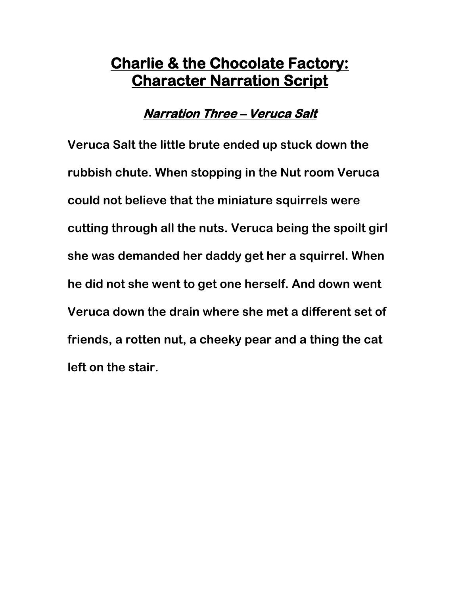### **Narration Three – Veruca Salt**

 **Veruca Salt the little brute ended up stuck down the rubbish chute. When stopping in the Nut room Veruca could not believe that the miniature squirrels were cutting through all the nuts. Veruca being the spoilt girl she was demanded her daddy get her a squirrel. When he did not she went to get one herself. And down went Veruca down the drain where she met a different set of friends, a rotten nut, a cheeky pear and a thing the cat left on the stair.**